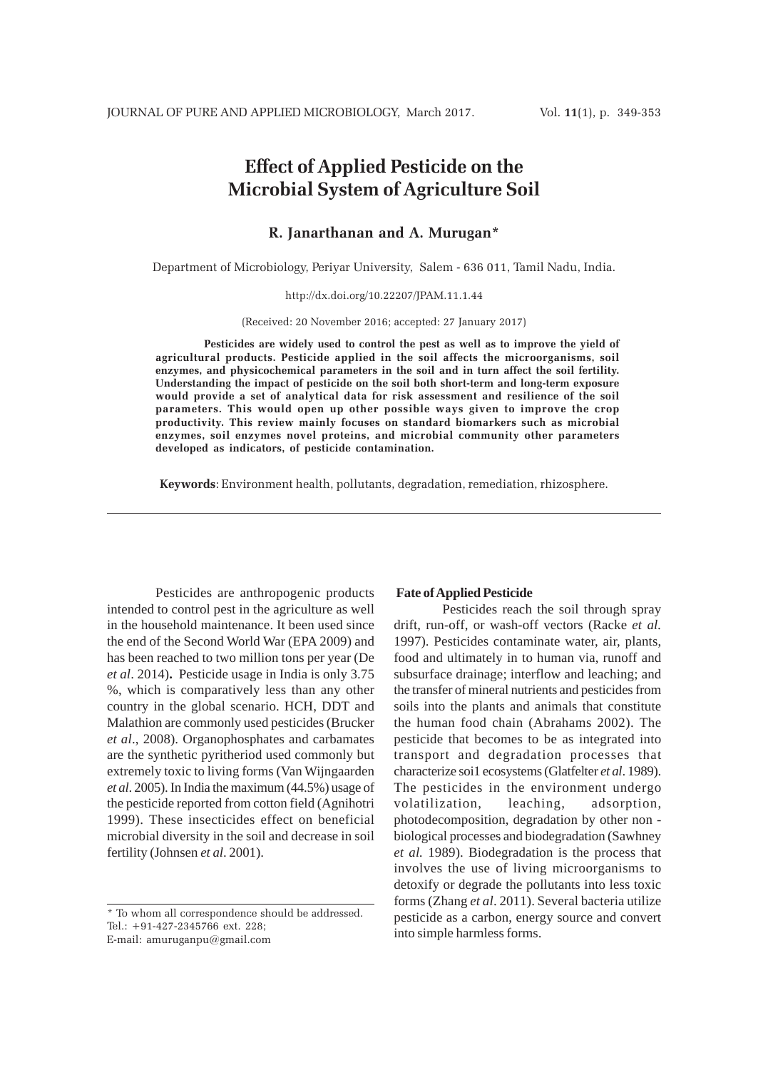# **Effect of Applied Pesticide on the Microbial System of Agriculture Soil**

# **R. Janarthanan and A. Murugan\***

Department of Microbiology, Periyar University, Salem - 636 011, Tamil Nadu, India.

## http://dx.doi.org/10.22207/JPAM.11.1.44

(Received: 20 November 2016; accepted: 27 January 2017)

**Pesticides are widely used to control the pest as well as to improve the yield of agricultural products. Pesticide applied in the soil affects the microorganisms, soil enzymes, and physicochemical parameters in the soil and in turn affect the soil fertility. Understanding the impact of pesticide on the soil both short-term and long-term exposure would provide a set of analytical data for risk assessment and resilience of the soil parameters. This would open up other possible ways given to improve the crop productivity. This review mainly focuses on standard biomarkers such as microbial enzymes, soil enzymes novel proteins, and microbial community other parameters developed as indicators, of pesticide contamination.**

**Keywords**: Environment health, pollutants, degradation, remediation, rhizosphere.

Pesticides are anthropogenic products intended to control pest in the agriculture as well in the household maintenance. It been used since the end of the Second World War (EPA 2009) and has been reached to two million tons per year (De *et al*. 2014)**.** Pesticide usage in India is only 3.75 %, which is comparatively less than any other country in the global scenario. HCH, DDT and Malathion are commonly used pesticides (Brucker *et al*., 2008). Organophosphates and carbamates are the synthetic pyritheriod used commonly but extremely toxic to living forms (Van Wijngaarden *et al*. 2005). In India the maximum (44.5%) usage of the pesticide reported from cotton field (Agnihotri 1999). These insecticides effect on beneficial microbial diversity in the soil and decrease in soil fertility (Johnsen *et al*. 2001).

## **Fate of Applied Pesticide**

Pesticides reach the soil through spray drift, run-off, or wash-off vectors (Racke *et al.* 1997). Pesticides contaminate water, air, plants, food and ultimately in to human via, runoff and subsurface drainage; interflow and leaching; and the transfer of mineral nutrients and pesticides from soils into the plants and animals that constitute the human food chain (Abrahams 2002). The pesticide that becomes to be as integrated into transport and degradation processes that characterize soi1 ecosystems (Glatfelter *et al*. 1989). The pesticides in the environment undergo volatilization, leaching, adsorption, photodecomposition, degradation by other non biological processes and biodegradation (Sawhney *et al.* 1989). Biodegradation is the process that involves the use of living microorganisms to detoxify or degrade the pollutants into less toxic forms (Zhang *et al*. 2011). Several bacteria utilize pesticide as a carbon, energy source and convert into simple harmless forms.

<sup>\*</sup> To whom all correspondence should be addressed. Tel.: +91-427-2345766 ext. 228; E-mail: amuruganpu@gmail.com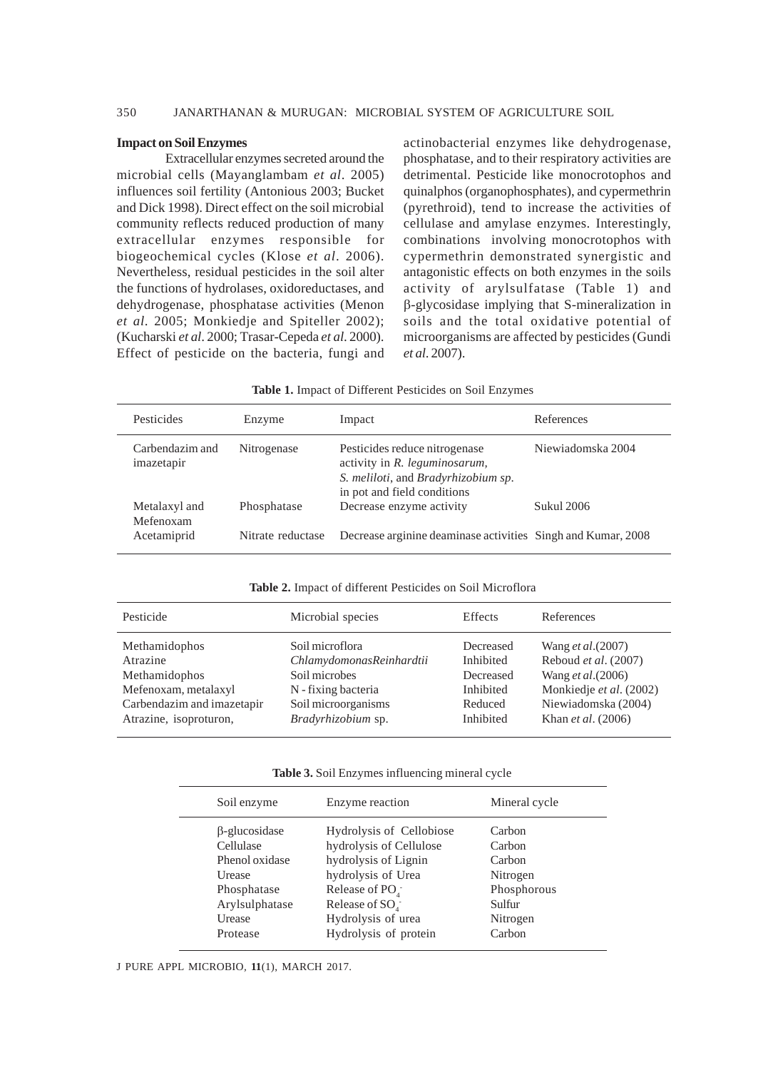# 350 JANARTHANAN & MURUGAN: MICROBIAL SYSTEM OF AGRICULTURE SOIL

## **Impact on Soil Enzymes**

Extracellular enzymes secreted around the microbial cells (Mayanglambam *et al*. 2005) influences soil fertility (Antonious 2003; Bucket and Dick 1998). Direct effect on the soil microbial community reflects reduced production of many extracellular enzymes responsible for biogeochemical cycles (Klose *et al*. 2006). Nevertheless, residual pesticides in the soil alter the functions of hydrolases, oxidoreductases, and dehydrogenase, phosphatase activities (Menon *et al*. 2005; Monkiedje and Spiteller 2002); (Kucharski *et al*. 2000; Trasar-Cepeda *et al*. 2000). Effect of pesticide on the bacteria, fungi and

actinobacterial enzymes like dehydrogenase, phosphatase, and to their respiratory activities are detrimental. Pesticide like monocrotophos and quinalphos (organophosphates), and cypermethrin (pyrethroid), tend to increase the activities of cellulase and amylase enzymes. Interestingly, combinations involving monocrotophos with cypermethrin demonstrated synergistic and antagonistic effects on both enzymes in the soils activity of arylsulfatase (Table 1) and β-glycosidase implying that S-mineralization in soils and the total oxidative potential of microorganisms are affected by pesticides (Gundi *et al*. 2007).

| Table 1. Impact of Different Pesticides on Soil Enzymes |  |  |
|---------------------------------------------------------|--|--|
|                                                         |  |  |

| Pesticides                    | Enzyme            | Impact                                                                                                                               | References        |
|-------------------------------|-------------------|--------------------------------------------------------------------------------------------------------------------------------------|-------------------|
| Carbendazim and<br>imazetapir | Nitrogenase       | Pesticides reduce nitrogenase<br>activity in R. leguminosarum,<br>S. meliloti, and Bradyrhizobium sp.<br>in pot and field conditions | Niewiadomska 2004 |
| Metalaxyl and<br>Mefenoxam    | Phosphatase       | Decrease enzyme activity                                                                                                             | <b>Sukul 2006</b> |
| Acetamiprid                   | Nitrate reductase | Decrease arginine deaminase activities Singh and Kumar, 2008                                                                         |                   |

## **Table 2.** Impact of different Pesticides on Soil Microflora

| Pesticide                  | Microbial species        | Effects   | References                |
|----------------------------|--------------------------|-----------|---------------------------|
| Methamidophos              | Soil microflora          | Decreased | Wang <i>et al.</i> (2007) |
| Atrazine                   | ChlamydomonasReinhardtii | Inhibited | Reboud et al. (2007)      |
| Methamidophos              | Soil microbes            | Decreased | Wang et al. (2006)        |
| Mefenoxam, metalaxyl       | N - fixing bacteria      | Inhibited | Monkiedje et al. (2002)   |
| Carbendazim and imazetapir | Soil microorganisms      | Reduced   | Niewiadomska (2004)       |
| Atrazine, isoproturon,     | Bradyrhizobium sp.       | Inhibited | Khan <i>et al.</i> (2006) |

#### **Table 3.** Soil Enzymes influencing mineral cycle

| Soil enzyme                                                                                              | Enzyme reaction                                                                                                                                                           | Mineral cycle                                                               |
|----------------------------------------------------------------------------------------------------------|---------------------------------------------------------------------------------------------------------------------------------------------------------------------------|-----------------------------------------------------------------------------|
| $\beta$ -glucosidase<br>Cellulase<br>Phenol oxidase<br>Urease<br>Phosphatase<br>Arylsulphatase<br>Urease | Hydrolysis of Cellobiose<br>hydrolysis of Cellulose<br>hydrolysis of Lignin<br>hydrolysis of Urea<br>Release of PO <sub>1</sub><br>Release of $SOa$<br>Hydrolysis of urea | Carbon<br>Carbon<br>Carbon<br>Nitrogen<br>Phosphorous<br>Sulfur<br>Nitrogen |
| Protease                                                                                                 | Hydrolysis of protein                                                                                                                                                     | Carbon                                                                      |

J PURE APPL MICROBIO*,* **11**(1), MARCH 2017.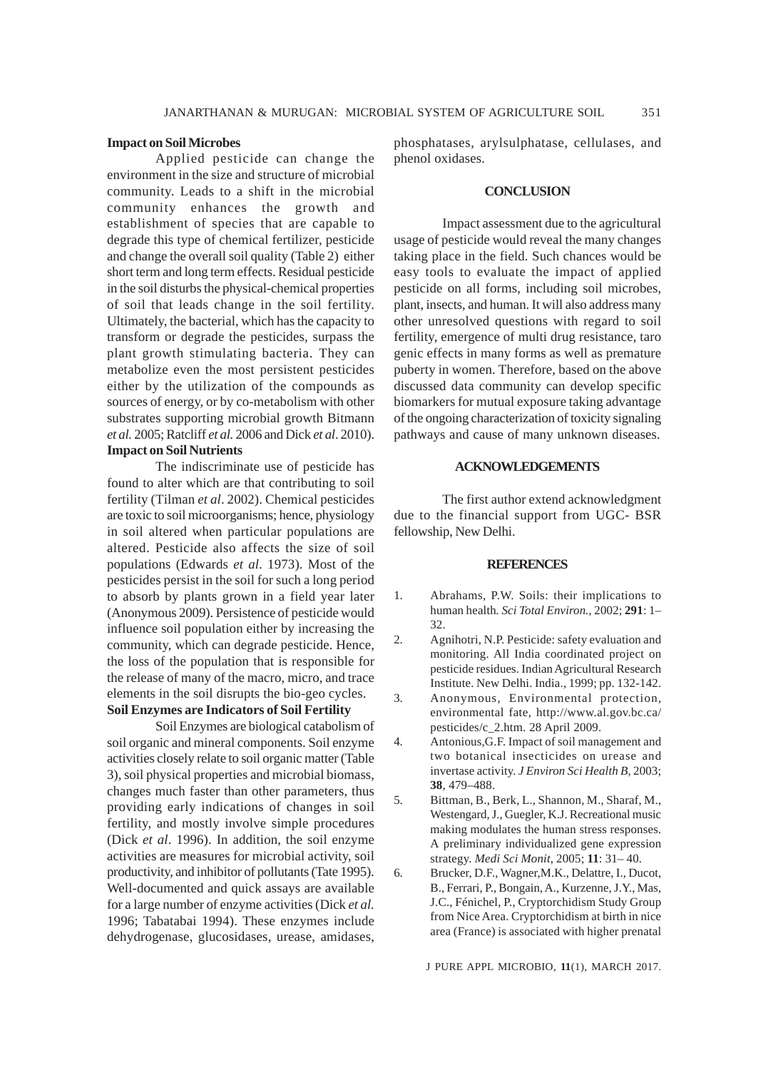## **Impact on Soil Microbes**

Applied pesticide can change the environment in the size and structure of microbial community. Leads to a shift in the microbial community enhances the growth and establishment of species that are capable to degrade this type of chemical fertilizer, pesticide and change the overall soil quality (Table 2) either short term and long term effects. Residual pesticide in the soil disturbs the physical-chemical properties of soil that leads change in the soil fertility. Ultimately, the bacterial, which has the capacity to transform or degrade the pesticides, surpass the plant growth stimulating bacteria. They can metabolize even the most persistent pesticides either by the utilization of the compounds as sources of energy, or by co-metabolism with other substrates supporting microbial growth Bitmann *et al.* 2005; Ratcliff *et al.* 2006 and Dick *et al*. 2010). **Impact on Soil Nutrients**

The indiscriminate use of pesticide has found to alter which are that contributing to soil fertility (Tilman *et al*. 2002). Chemical pesticides are toxic to soil microorganisms; hence, physiology in soil altered when particular populations are altered. Pesticide also affects the size of soil populations (Edwards *et al*. 1973). Most of the pesticides persist in the soil for such a long period to absorb by plants grown in a field year later (Anonymous 2009). Persistence of pesticide would influence soil population either by increasing the community, which can degrade pesticide. Hence, the loss of the population that is responsible for the release of many of the macro, micro, and trace elements in the soil disrupts the bio-geo cycles.

## **Soil Enzymes are Indicators of Soil Fertility**

Soil Enzymes are biological catabolism of soil organic and mineral components. Soil enzyme activities closely relate to soil organic matter (Table 3), soil physical properties and microbial biomass, changes much faster than other parameters, thus providing early indications of changes in soil fertility, and mostly involve simple procedures (Dick *et al*. 1996). In addition, the soil enzyme activities are measures for microbial activity, soil productivity, and inhibitor of pollutants (Tate 1995). Well-documented and quick assays are available for a large number of enzyme activities (Dick *et al.* 1996; Tabatabai 1994). These enzymes include dehydrogenase, glucosidases, urease, amidases,

phosphatases, arylsulphatase, cellulases, and phenol oxidases.

## **CONCLUSION**

Impact assessment due to the agricultural usage of pesticide would reveal the many changes taking place in the field. Such chances would be easy tools to evaluate the impact of applied pesticide on all forms, including soil microbes, plant, insects, and human. It will also address many other unresolved questions with regard to soil fertility, emergence of multi drug resistance, taro genic effects in many forms as well as premature puberty in women. Therefore, based on the above discussed data community can develop specific biomarkers for mutual exposure taking advantage of the ongoing characterization of toxicity signaling pathways and cause of many unknown diseases.

### **ACKNOWLEDGEMENTS**

The first author extend acknowledgment due to the financial support from UGC- BSR fellowship, New Delhi.

## **REFERENCES**

- 1. Abrahams, P.W. Soils: their implications to human health*. Sci Total Environ.*, 2002; **291**: 1– 32.
- 2. Agnihotri, N.P. Pesticide: safety evaluation and monitoring. All India coordinated project on pesticide residues. Indian Agricultural Research Institute. New Delhi. India., 1999; pp. 132-142.
- 3. Anonymous, Environmental protection, environmental fate, http://www.al.gov.bc.ca/ pesticides/c\_2.htm. 28 April 2009.
- 4. Antonious,G.F. Impact of soil management and two botanical insecticides on urease and invertase activity. *J Environ Sci Health B,* 2003; **38**, 479–488.
- 5. Bittman, B., Berk, L., Shannon, M., Sharaf, M., Westengard, J., Guegler, K.J. Recreational music making modulates the human stress responses. A preliminary individualized gene expression strategy. *Medi Sci Monit*, 2005; **11**: 31– 40.
- 6. Brucker, D.F., Wagner,M.K., Delattre, I., Ducot, B., Ferrari, P., Bongain, A., Kurzenne, J.Y., Mas, J.C., Fénichel, P., Cryptorchidism Study Group from Nice Area. Cryptorchidism at birth in nice area (France) is associated with higher prenatal

J PURE APPL MICROBIO*,* **11**(1), MARCH 2017.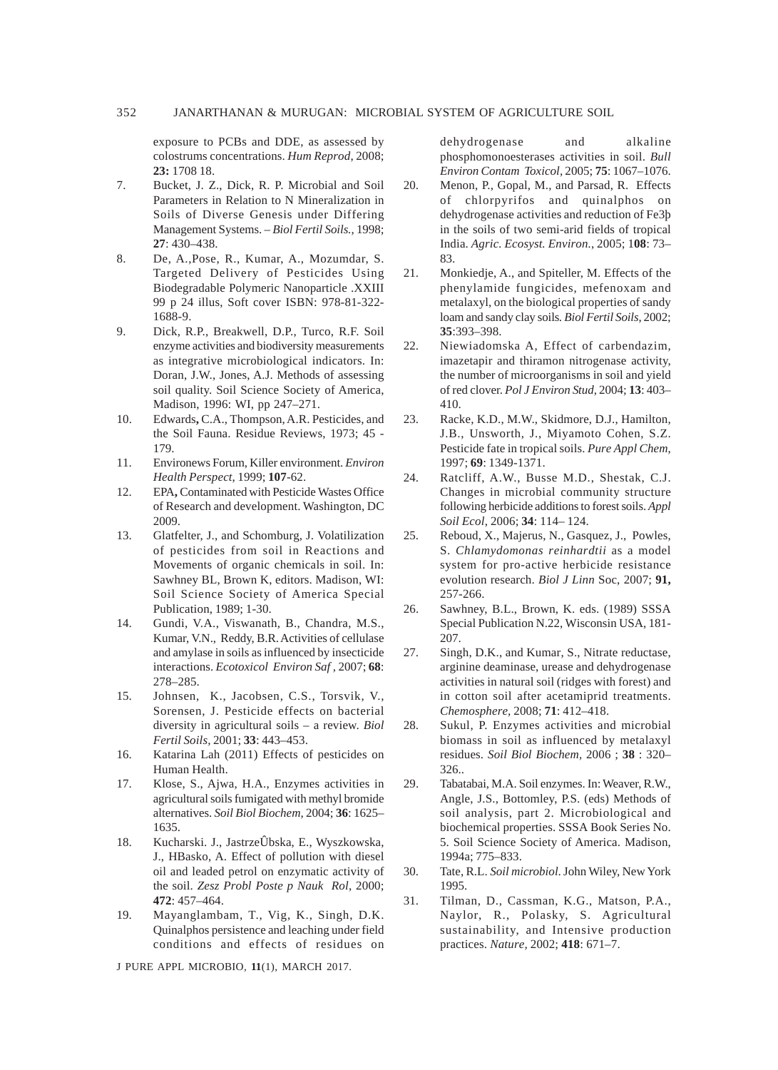exposure to PCBs and DDE, as assessed by colostrums concentrations. *Hum Reprod*, 2008; **23:** 1708 18.

- 7. Bucket, J. Z., Dick, R. P. Microbial and Soil Parameters in Relation to N Mineralization in Soils of Diverse Genesis under Differing Management Systems. – *Biol Fertil Soils.*, 1998; **27**: 430–438.
- 8. De, A.,Pose, R., Kumar, A., Mozumdar, S. Targeted Delivery of Pesticides Using Biodegradable Polymeric Nanoparticle .XXIII 99 p 24 illus, Soft cover ISBN: 978-81-322- 1688-9.
- 9. Dick, R.P., Breakwell, D.P., Turco, R.F. Soil enzyme activities and biodiversity measurements as integrative microbiological indicators. In: Doran, J.W., Jones, A.J. Methods of assessing soil quality. Soil Science Society of America, Madison, 1996: WI, pp 247–271.
- 10. Edwards**,** C.A., Thompson, A.R. Pesticides, and the Soil Fauna. Residue Reviews, 1973; 45 - 179.
- 11. Environews Forum, Killer environment. *Environ Health Perspect*, 1999; **107**-62.
- 12. EPA**,** Contaminated with Pesticide Wastes Office of Research and development. Washington, DC 2009.
- 13. Glatfelter, J., and Schomburg, J. Volatilization of pesticides from soil in Reactions and Movements of organic chemicals in soil. In: Sawhney BL, Brown K, editors. Madison, WI: Soil Science Society of America Special Publication, 1989; 1-30.
- 14. Gundi, V.A., Viswanath, B., Chandra, M.S., Kumar, V.N., Reddy, B.R. Activities of cellulase and amylase in soils as influenced by insecticide interactions. *Ecotoxicol Environ Saf ,* 2007; **68**: 278–285.
- 15. Johnsen, K., Jacobsen, C.S., Torsvik, V., Sorensen, J. Pesticide effects on bacterial diversity in agricultural soils – a review. *Biol Fertil Soils,* 2001; **33**: 443–453.
- 16. Katarina Lah (2011) Effects of pesticides on Human Health.
- 17. Klose, S., Ajwa, H.A., Enzymes activities in agricultural soils fumigated with methyl bromide alternatives. *Soil Biol Biochem*, 2004; **36**: 1625– 1635.
- 18. Kucharski. J., JastrzeÛbska, E., Wyszkowska, J., HBasko, A. Effect of pollution with diesel oil and leaded petrol on enzymatic activity of the soil. *Zesz Probl Poste p Nauk Rol*, 2000; **472**: 457–464.
- 19. Mayanglambam, T., Vig, K., Singh, D.K. Quinalphos persistence and leaching under field conditions and effects of residues on

J PURE APPL MICROBIO*,* **11**(1), MARCH 2017.

dehydrogenase and alkaline phosphomonoesterases activities in soil. *Bull Environ Contam Toxicol,* 2005; **75**: 1067–1076.

- 20. Menon, P., Gopal, M., and Parsad, R. Effects of chlorpyrifos and quinalphos on dehydrogenase activities and reduction of Fe3þ in the soils of two semi-arid fields of tropical India. *Agric. Ecosyst. Environ.*, 2005; 1**08**: 73– 83.
- 21. Monkiedje, A., and Spiteller, M. Effects of the phenylamide fungicides, mefenoxam and metalaxyl, on the biological properties of sandy loam and sandy clay soils*. Biol Fertil Soils*, 2002; **35**:393–398.
- 22. Niewiadomska A, Effect of carbendazim, imazetapir and thiramon nitrogenase activity, the number of microorganisms in soil and yield of red clover. *Pol J Environ Stud,* 2004; **13**: 403– 410.
- 23. Racke, K.D., M.W., Skidmore, D.J., Hamilton, J.B., Unsworth, J., Miyamoto Cohen, S.Z. Pesticide fate in tropical soils. *Pure Appl Chem*, 1997; **69**: 1349-1371.
- 24. Ratcliff, A.W., Busse M.D., Shestak, C.J. Changes in microbial community structure following herbicide additions to forest soils. *Appl Soil Ecol*, 2006; **34**: 114– 124.
- 25. Reboud, X., Majerus, N., Gasquez, J., Powles, S. *Chlamydomonas reinhardtii* as a model system for pro-active herbicide resistance evolution research. *Biol J Linn* Soc, 2007; **91,** 257-266.
- 26. Sawhney, B.L., Brown, K. eds. (1989) SSSA Special Publication N.22, Wisconsin USA, 181- 207.
- 27. Singh, D.K., and Kumar, S., Nitrate reductase, arginine deaminase, urease and dehydrogenase activities in natural soil (ridges with forest) and in cotton soil after acetamiprid treatments. *Chemosphere,* 2008; **71**: 412–418.
- 28. Sukul, P. Enzymes activities and microbial biomass in soil as influenced by metalaxyl residues. *Soil Biol Biochem,* 2006 ; **38** : 320– 326..
- 29. Tabatabai, M.A. Soil enzymes. In: Weaver, R.W., Angle, J.S., Bottomley, P.S. (eds) Methods of soil analysis, part 2. Microbiological and biochemical properties. SSSA Book Series No. 5. Soil Science Society of America. Madison, 1994a; 775–833.
- 30. Tate, R.L. *Soil microbiol*. John Wiley, New York 1995.
- 31. Tilman, D., Cassman, K.G., Matson, P.A., Naylor, R., Polasky, S. Agricultural sustainability, and Intensive production practices. *Nature,* 2002; **418**: 671–7.